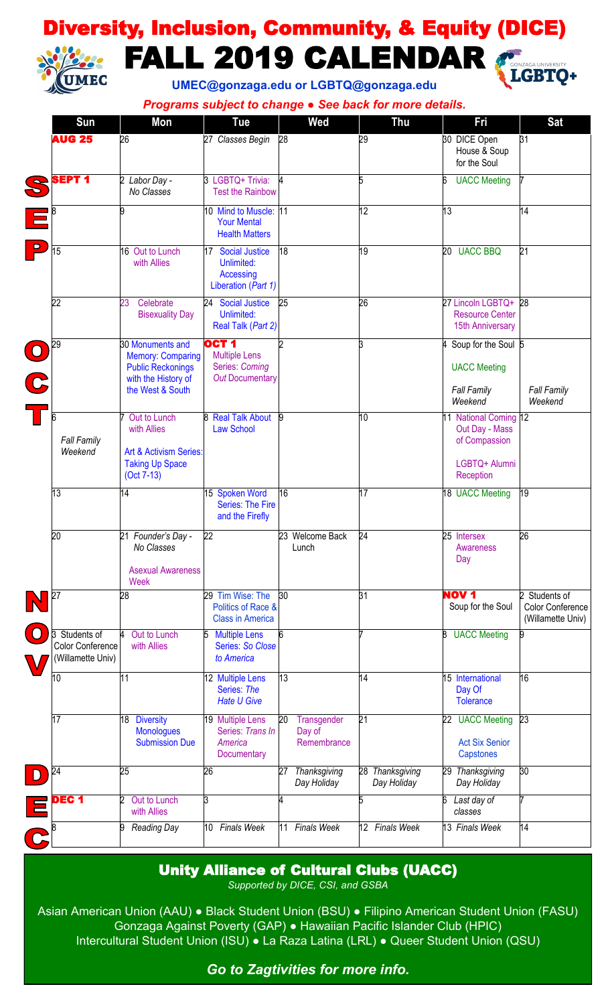# Diversity, Inclusion, Community, & Equity (DICE) J FALL 2019 CALENDAR **MEC**



**UMEC@gonzaga.edu or LGBTQ@gonzaga.edu**

*Programs subject to change ● See back for more details.*

|                          | Sun                                                    | Mon                                                                                             | Tue                                                                                  | Wed                                        | <b>Thu</b>                     | Fri                                                                       | <b>Sat</b>                                             |
|--------------------------|--------------------------------------------------------|-------------------------------------------------------------------------------------------------|--------------------------------------------------------------------------------------|--------------------------------------------|--------------------------------|---------------------------------------------------------------------------|--------------------------------------------------------|
|                          | <b>AUG 25</b>                                          | 26                                                                                              | 27 Classes Begin                                                                     | 28                                         | 29                             | 30 DICE Open<br>House & Soup<br>for the Soul                              | 31                                                     |
|                          | <b>SEPT 1</b>                                          | 2 Labor Day -<br>No Classes                                                                     | 3 LGBTQ+ Trivia:<br><b>Test the Rainbow</b>                                          |                                            | 5                              | <b>UACC Meeting</b>                                                       |                                                        |
|                          |                                                        | 9                                                                                               | 10 Mind to Muscle:<br><b>Your Mental</b><br><b>Health Matters</b>                    | 11                                         | 12                             | 13                                                                        | 14                                                     |
| $\overline{\phantom{a}}$ | 15                                                     | 16 Out to Lunch<br>with Allies                                                                  | 17 Social Justice<br>Unlimited:<br>Accessing<br>Liberation (Part 1)                  | 18                                         | 19                             | 20 UACC BBQ                                                               | 21                                                     |
|                          | $\overline{22}$                                        | 23<br>Celebrate<br><b>Bisexuality Day</b>                                                       | 24<br><b>Social Justice</b><br>Unlimited:<br>Real Talk (Part 2)                      | 25                                         | 26                             | 27 Lincoln LGBTQ+ 28<br><b>Resource Center</b><br><b>15th Anniversary</b> |                                                        |
| CC                       | 29                                                     | 30 Monuments and<br><b>Memory: Comparing</b><br><b>Public Reckonings</b><br>with the History of | OCT <sub>1</sub><br><b>Multiple Lens</b><br>Series: Coming<br><b>Out Documentary</b> |                                            | k                              | Soup for the Soul 5<br><b>UACC Meeting</b>                                |                                                        |
|                          |                                                        | the West & South                                                                                |                                                                                      |                                            |                                | <b>Fall Family</b><br>Weekend                                             | <b>Fall Family</b><br>Weekend                          |
|                          | <b>Fall Family</b><br>Weekend                          | Out to Lunch<br>with Allies<br>Art & Activism Series:                                           | 8 Real Talk About<br><b>Law School</b>                                               | 9                                          | 10                             | 11 National Coming 12<br>Out Day - Mass<br>of Compassion                  |                                                        |
|                          |                                                        | <b>Taking Up Space</b><br>$(Oct 7-13)$                                                          |                                                                                      |                                            |                                | LGBTQ+ Alumni<br>Reception                                                |                                                        |
|                          | 13                                                     | 14                                                                                              | 15 Spoken Word<br>Series: The Fire<br>and the Firefly                                | 16                                         | 17                             | 18 UACC Meeting                                                           | 19                                                     |
|                          | 20                                                     | 21 Founder's Day -<br>No Classes<br><b>Asexual Awareness</b><br>Week                            | 22                                                                                   | 23 Welcome Back<br>Lunch                   | 24                             | 25 Intersex<br>Awareness<br>Day                                           | 26                                                     |
|                          | 27                                                     | 28                                                                                              | 29 Tim Wise: The<br>Politics of Race &<br><b>Class in America</b>                    | 30                                         | 31                             | <b>NOV 1</b><br>Soup for the Soul                                         | 2 Students of<br>Color Conference<br>(Willamette Univ) |
|                          | 3 Students of<br>Color Conference<br>(Willamette Univ) | Out to Lunch<br>with Allies                                                                     | <b>Multiple Lens</b><br>5<br><b>Series: So Close</b><br>to America                   | 6                                          |                                | <b>UACC Meeting</b><br>8                                                  | 9                                                      |
|                          | 10                                                     | 11                                                                                              | 12 Multiple Lens<br>Series: The<br><b>Hate U Give</b>                                | 13                                         | 14                             | 15 International<br>Day Of<br><b>Tolerance</b>                            | 16                                                     |
|                          | 17                                                     | <b>Diversity</b><br>18<br><b>Monologues</b><br><b>Submission Due</b>                            | 19 Multiple Lens<br>Series: Trans In<br>America<br>Documentary                       | 20<br>Transgender<br>Day of<br>Remembrance | $\overline{21}$                | 22 UACC Meeting<br><b>Act Six Senior</b><br>Capstones                     | 23                                                     |
|                          | 24                                                     | 25                                                                                              | 26                                                                                   | Thanksgiving<br>27<br>Day Holiday          | 28 Thanksgiving<br>Day Holiday | 29 Thanksgiving<br>Day Holiday                                            | 30                                                     |
|                          | DEC <sub>1</sub>                                       | 2<br>Out to Lunch<br>with Allies                                                                | 3                                                                                    |                                            | 5                              | Last day of<br>6<br>classes                                               | 7                                                      |
|                          |                                                        | 9 Reading Day                                                                                   | <b>Finals Week</b><br>10                                                             | <b>Finals Week</b><br>11                   | 12 Finals Week                 | 13 Finals Week                                                            | 14                                                     |

### Unity Alliance of Cultural Clubs (UACC)

*Supported by DICE, CSI, and GSBA*

Asian American Union (AAU) ● Black Student Union (BSU) ● Filipino American Student Union (FASU) Gonzaga Against Poverty (GAP) ● Hawaiian Pacific Islander Club (HPIC) Intercultural Student Union (ISU) ● La Raza Latina (LRL) ● Queer Student Union (QSU)

*Go to Zagtivities for more info.*